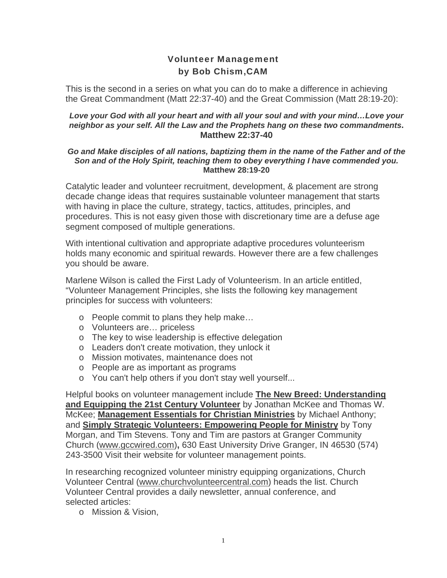## Volunteer Management by Bob Chism,CAM

This is the second in a series on what you can do to make a difference in achieving the Great Commandment (Matt 22:37-40) and the Great Commission (Matt 28:19-20):

## *Love your God with all your heart and with all your soul and with your mind…Love your neighbor as your self. All the Law and the Prophets hang on these two commandments***. Matthew 22:37-40**

## *Go and Make disciples of all nations, baptizing them in the name of the Father and of the Son and of the Holy Spirit, teaching them to obey everything I have commended you.*  **Matthew 28:19-20**

Catalytic leader and volunteer recruitment, development, & placement are strong decade change ideas that requires sustainable volunteer management that starts with having in place the culture, strategy, tactics, attitudes, principles, and procedures. This is not easy given those with discretionary time are a defuse age segment composed of multiple generations.

With intentional cultivation and appropriate adaptive procedures volunteerism holds many economic and spiritual rewards. However there are a few challenges you should be aware.

Marlene Wilson is called the First Lady of Volunteerism. In an article entitled, "Volunteer Management Principles, she lists the following key management principles for success with volunteers:

- o People commit to plans they help make…
- o Volunteers are… priceless
- o The key to wise leadership is effective delegation
- o Leaders don't create motivation, they unlock it
- o Mission motivates, maintenance does not
- o People are as important as programs
- o You can't help others if you don't stay well yourself...

Helpful books on volunteer management include **The New Breed: Understanding and Equipping the 21st Century Volunteer** by Jonathan McKee and Thomas W. McKee; **Management Essentials for Christian Ministries** by [Michael Anthony](http://www.christianbook.com/Christian/Books/search?author=Michael%20Anthony&detailed_search=1&action=Search); and **Simply Strategic Volunteers: Empowering People for Ministry** by [Tony](http://www.christianbook.com/Christian/Books/search?author=Tony%20Morgan&detailed_search=1&action=Search)  [Morgan,](http://www.christianbook.com/Christian/Books/search?author=Tony%20Morgan&detailed_search=1&action=Search) and Tim [Stevens](http://www.christianbook.com/Christian/Books/search?author=Tim%20Stevens&detailed_search=1&action=Search). Tony and Tim are pastors at Granger Community Church (www.gccwired.com)**,** 630 East University Drive Granger, IN 46530 (574) 243-3500 Visit their website for volunteer management points.

In researching recognized volunteer ministry equipping organizations, Church Volunteer Central (www.churchvolunteercentral.com) heads the list. Church Volunteer Central provides a daily newsletter, annual conference, and selected articles:

o Mission & Vision,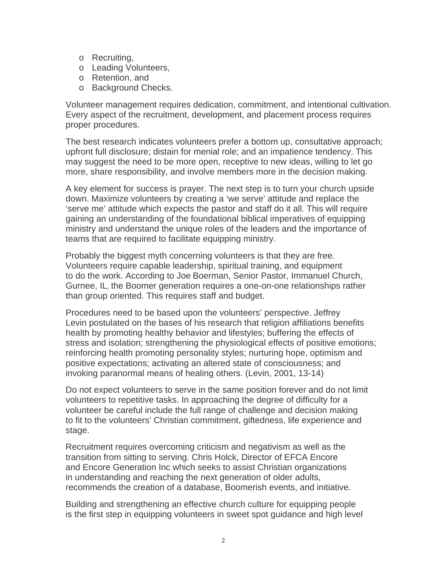- o Recruiting,
- o Leading Volunteers,
- o Retention, and
- o Background Checks.

Volunteer management requires dedication, commitment, and intentional cultivation. Every aspect of the recruitment, development, and placement process requires proper procedures.

The best research indicates volunteers prefer a bottom up, consultative approach; upfront full disclosure; distain for menial role; and an impatience tendency. This may suggest the need to be more open, receptive to new ideas, willing to let go more, share responsibility, and involve members more in the decision making.

A key element for success is prayer. The next step is to turn your church upside down. Maximize volunteers by creating a 'we serve' attitude and replace the 'serve me' attitude which expects the pastor and staff do it all. This will require gaining an understanding of the foundational biblical imperatives of equipping ministry and understand the unique roles of the leaders and the importance of teams that are required to facilitate equipping ministry.

Probably the biggest myth concerning volunteers is that they are free. Volunteers require capable leadership, spiritual training, and equipment to do the work. According to Joe Boerman, Senior Pastor, Immanuel Church, Gurnee, IL, the Boomer generation requires a one-on-one relationships rather than group oriented. This requires staff and budget.

Procedures need to be based upon the volunteers' perspective. Jeffrey Levin postulated on the bases of his research that religion affiliations benefits health by promoting healthy behavior and lifestyles; buffering the effects of stress and isolation; strengthening the physiological effects of positive emotions; reinforcing health promoting personality styles; nurturing hope, optimism and positive expectations; activating an altered state of consciousness; and invoking paranormal means of healing others. (Levin, 2001, 13-14)

Do not expect volunteers to serve in the same position forever and do not limit volunteers to repetitive tasks. In approaching the degree of difficulty for a volunteer be careful include the full range of challenge and decision making to fit to the volunteers' Christian commitment, giftedness, life experience and stage.

Recruitment requires overcoming criticism and negativism as well as the transition from sitting to serving. Chris Holck, Director of EFCA Encore and Encore Generation Inc which seeks to assist Christian organizations in understanding and reaching the next generation of older adults, recommends the creation of a database, Boomerish events, and initiative.

Building and strengthening an effective church culture for equipping people is the first step in equipping volunteers in sweet spot guidance and high level